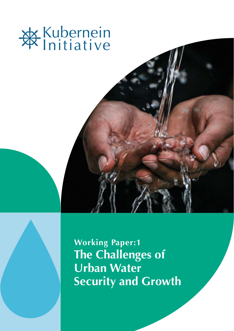

**Working Paper:1 The Challenges of Urban Water Security and Growth**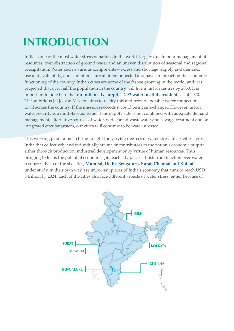# **INTRODUCTION**

India is one of the most water stressed nations in the world, largely due to poor management of resources, over abstraction of ground water and an uneven distribution of seasonal and regional precipitation. Water and its various components – excess and shortage, supply and demand, use and availability, and sanitation – are all interconnected and have an impact on the economic functioning of the country. Indian cities are some of the fastest growing in the world, and it is projected that over half the population in the country will live in urban centres by 2030. It is important to note here that **no Indian city supplies 24/7 water to all its residents** as of 2020. The ambitious Jal Jeevan Mission aims to rectify this and provide potable water connections to all across the country. If the mission succeeds it could be a game-changer. However, urban water security is a multi-faceted issue: if the supply side is not combined with adequate demand management, alternative sources of water, widespread wastewater and sewage treatment and an integrated circular system, our cities will continue to be water stressed.

This working paper aims to bring to light the varying degrees of water stress in six cities across India that collectively and individually are major contributors to the nation's economic output, either through production, industrial development or by virtue of human resources. Thus, bringing to focus the potential economic gain each city places at risk from inaction over water resources. Each of the six cities, **Mumbai, Delhi, Bengaluru, Surat, Chennai and Kolkata**, under study, in their own way, are important pieces of India's economy that aims to reach USD 5 trillion by 2024. Each of the cities also face different aspects of water stress, either because of

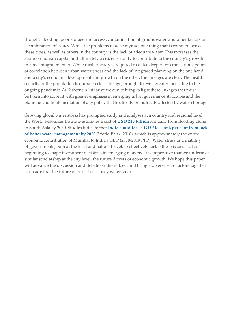drought, flooding, poor storage and access, contamination of groundwater, and other factors or a combination of issues. While the problems may be myriad, one thing that is common across these cities, as well as others in the country, is the lack of adequate water. This increases the strain on human capital and ultimately a citizen's ability to contribute to the country's growth in a meaningful manner. While further study is required to delve deeper into the various points of correlation between urban water stress and the lack of integrated planning on the one hand and a city's economic development and growth on the other, the linkages are clear. The health security of the population is one such clear linkage, brought to even greater focus due to the ongoing pandemic. At Kubernein Initiative we aim to bring to light these linkages that must be taken into account with greater emphasis in emerging urban governance structures and the planning and implementation of any policy that is directly or indirectly affected by water shortage.

Growing global water stress has prompted study and analyses at a country and regional level: the World Resources Institute estimates a cost of **[USD 215 billion](https://thewire.in/urban/water-security-indian-smart-cities)** annually from flooding alone in South Asia by 2030. Studies indicate that **India could face a GDP loss of 6 per cent from lack of better water management by 2050** (World Bank, 2016), which is approximately the entire economic contribution of Mumbai to India's GDP (2018-2019 PPP). Water stress and inability of governments, both at the local and national level, to effectively tackle these issues is also beginning to shape investment decisions in emerging markets. It is imperative that we undertake similar scholarship at the city level, the future drivers of economic growth. We hope this paper will advance the discussion and debate on this subject and bring a diverse set of actors together to ensure that the future of our cities is truly water smart.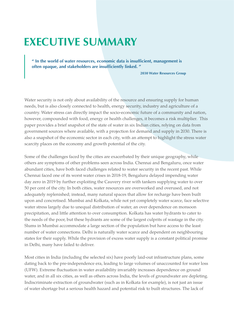# **EXECUTIVE SUMMARY**

**" In the world of water resources, economic data is insufficient, management is often opaque, and stakeholders are insufficiently linked. "**

**2030 Water Resources Group**

Water security is not only about availability of the resource and ensuring supply for human needs, but is also closely connected to health, energy security, industry and agriculture of a country. Water stress can directly impact the socio-economic future of a community and nation, however, compounded with food, energy or health challenges, it becomes a risk multiplier. This paper provides a brief snapshot of the state of water in six Indian cities, relying on data from government sources where available, with a projection for demand and supply in 2030. There is also a snapshot of the economic sector in each city, with an attempt to highlight the stress water scarcity places on the economy and growth potential of the city.

Some of the challenges faced by the cities are exacerbated by their unique geography, while others are symptoms of other problems seen across India. Chennai and Bengaluru, once water abundant cities, have both faced challenges related to water security in the recent past. While Chennai faced one of its worst water crises in 2018-19, Bengaluru delayed impending water day zero in 2019 by further exploiting the Cauvery river with tankers supplying water to over 50 per cent of the city. In both cities, water resources are overworked and overused, and not adequately replenished; instead, many natural spaces that allow for recharge have been built upon and concretised. Mumbai and Kolkata, while not yet completely water scarce, face selective water stress largely due to unequal distribution of water, an over dependence on monsoon precipitation, and little attention to over consumption. Kolkata has water hydrants to cater to the needs of the poor, but these hydrants are some of the largest culprits of wastage in the city. Slums in Mumbai accommodate a large section of the population but have access to the least number of water connections. Delhi is naturally water scarce and dependent on neighbouring states for their supply. While the provision of excess water supply is a constant political promise in Delhi, many have failed to deliver.

Most cities in India (including the selected six) have poorly laid-out infrastructure plans, some dating back to the pre-independence era, leading to large volumes of unaccounted for water loss (UFW). Extreme fluctuation in water availability invariably increases dependence on ground water, and in all six cities, as well as others across India, the levels of groundwater are depleting. Indiscriminate extraction of groundwater (such as in Kolkata for example), is not just an issue of water shortage but a serious health hazard and potential risk to built structures. The lack of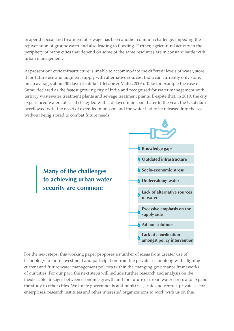proper disposal and treatment of sewage has been another common challenge; impeding the rejuvenation of groundwater and also leading to flooding. Further, agricultural activity in the periphery of many cities that depend on some of the same resources are in constant battle with urban management.

At present our civic infrastructure is unable to accommodate the different levels of water, store it for future use and augment supply with alternative sources. India can currently only store, on an average, about 30 days of rainfall (Briscoe & Malik, 2006). Take for example the case of Surat, declared as the fastest growing city of India and recognised for water management with tertiary wastewater treatment plants and sewage treatment plants. Despite that, in 2019, the city experienced water cuts as it struggled with a delayed monsoon. Later in the year, the Ukai dam overflowed with the onset of extended monsoon and the water had to be released into the sea without being stored to combat future needs.



For the next steps, this working paper proposes a number of ideas from greater use of technology to more investment and participation from the private sector along with aligning current and future water management policies within the changing governance frameworks of our cities. For our part, the next steps will include further research and analysis on the inextricable linkages between economic growth and the future of urban water stress and expand the study to other cities. We invite governments and ministries, state and central, private sector enterprises, research institutes and other interested organizations to work with us on this.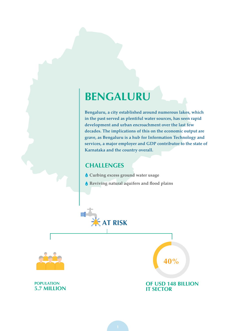# **BENGALURU**

**Bengaluru, a city established around numerous lakes, which in the past served as plentiful water sources, has seen rapid development and urban encroachment over the last few decades. The implications of this on the economic output are grave, as Bengaluru is a hub for Information Technology and services, a major employer and GDP contributor to the state of Karnataka and the country overall.**

#### **CHALLENGES**

**AT RISK**

- **Curbing excess ground water usage**
- **Reviving natural aquifers and flood plains**



**POPULATION 5.7 MILLION**

**40% OF USD 148 BILLION IT SECTOR**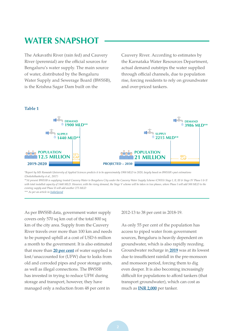The Arkavathi River (rain fed) and Cauvery River (perennial) are the official sources for Bengaluru's water supply. The main source of water, distributed by the Bengaluru Water Supply and Sewerage Board (BWSSB), is the Krishna Sagar Dam built on the

Cauvery River. According to estimates by the Karnataka Water Resources Department, actual demand outstrips the water supplied through official channels, due to population rise, forcing residents to rely on groundwater and over-priced tankers.



*\*Report by MS Ramaiah University of Applied Sciences predicts it to be approximately 1900 MLD in 2020, largely based on BWSSB's past estimations (Deekshithashetty et al., 2017)*

\*\*At present BWSSB is supplying treated Cauvery Water to Bengaluru City under the Cauvery Water Supply Scheme (CWSS) Stage I, II, III & Stage IV Phase I & II with total installed capacity of 1440 MLD. However, with the rising demand, the Stage V scheme will be taken in two phases, where Phase I will add 500 MLD to the *existing supply and Phase II will add another 275 MLD*

*\*\*\* As per an article in [IndiaSpend](https://www.indiaspend.com/why-bengaluru-may-run-out-of-drinking-water-in-12-years-27356/)*

As per BWSSB data, government water supply covers only 570 sq km out of the total 800 sq km of the city area. Supply from the Cauvery River travels over more than 100 km and needs to be pumped uphill at a cost of USD 6 million a month to the government. It is also estimated that more than **[20 per cent](https://www.livemint.com/news/india/bengaluru-water-crisis-more-work-less-water-in-india-s-silicon-valley-1559718058529.html)** of water supplied is lost/unaccounted for (UFW) due to leaks from old and corroded pipes and poor storage units, as well as illegal connections. The BWSSB has invested in trying to reduce UFW during storage and transport, however, they have managed only a reduction from 48 per cent in

2012-13 to 38 per cent in 2018-19.

As only 55 per cent of the population has access to piped water from government sources, Bengaluru is heavily dependent on groundwater, which is also rapidly receding. Groundwater recharge in **[2019](https://bangaloremirror.indiatimes.com/bangalore/cover-story/2020-the-year-bengaluru-runs-out-of-water/articleshow/69995755.cms)** was at its lowest due to insufficient rainfall in the pre-monsoon and monsoon period, forcing them to dig even deeper. It is also becoming increasingly difficult for populations to afford tankers (that transport groundwater), which can cost as much as **[INR 2,000](https://bangaloremirror.indiatimes.com/bangalore/others/tanker-tariffs-reined-in/articleshow/68399249.cms)** per tanker.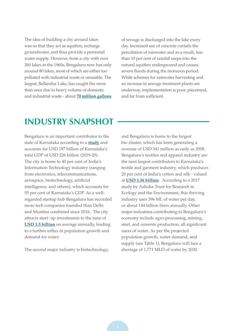The idea of building a city around lakes was so that they act as aquifers, recharge groundwater, and thus provide a perennial water supply. However, from a city with over 260 lakes in the 1960s, Bengaluru now has only around 80 lakes, most of which are either too polluted with industrial waste or unusable. The largest, Bellandur Lake, has caught fire more than once due to heavy volume of domestic and industrial waste - about **[70 million gallons](https://www.nationalgeographic.com/news/2018/02/bangalore-india-lake-bellandur-catches-fire-pollution/)**

of sewage is discharged into the lake every day. Increased use of concrete curtails the percolation of rainwater and as a result, less than 10 per cent of rainfall seeps into the natural aquifers underground and causes severe floods during the monsoon period. While schemes for rainwater harvesting and an increase in sewage treatment plants are underway, implementation is poor, piecemeal, and far from sufficient.

#### **INDUSTRY SNAPSHOT**

Bengaluru is an important contributor to the state of Karnataka according to a **[study](http://www.ibef.org/states/karnataka-presentation)** and accounts for USD 197 billion of Karnataka's total GDP of USD 226 billion (2019-20). The city is home to 40 per cent of India's Information Technology industry (ranging from electronics, telecommunications, aerospace, biotechnology, artificial intelligence, and others), which accounts for 55 per cent of Karnataka's GDP. As a wellregarded startup hub Bengaluru has recorded more tech companies founded than Delhi and Mumbai combined since 2016. The city attracts start- up investments to the tune of **[USD 3.5 billion](https://www.livemint.com/companies/start-ups/bengaluru-start-ups-get-the-most-funding-11578020964308.html)** on average annually, leading to a further influx in population growth and demand for water.

The second major industry is biotechnology,

and Bengaluru is home to the largest bio cluster, which has been generating a revenue of USD 341 million as early as 2008. Bengaluru's textiles and apparel industry are the next largest contributors to Karnataka's textile and garment industry, which produces 20 per cent of India's cotton and silk - valued at **[USD 1.56 billion](https://www.karnataka.com/industry/textile-industry/)**. According to a 2017 study by Ashoka Trust for Research in Ecology and the Environment, this thriving industry uses 396 ML of water per day, or about 144 billion liters annually. Other major industries contributing to Bengaluru's economy include agro-processing, mining, steel, and cements production, all significant users of water. As per the projected population growth, water demand, and supply (see Table 1), Bengaluru will face a shortage of 1,771 MLD of water by 2030.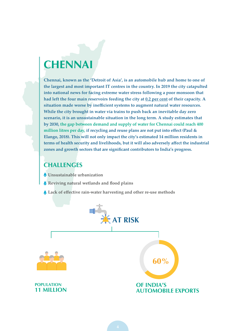# **CHENNAI**

**Chennai, known as the 'Detroit of Asia', is an automobile hub and home to one of the largest and most important IT centres in the country. In 2019 the city catapulted into national news for facing extreme water stress following a poor monsoon that had left the four main reservoirs feeding the city at [0.2 per cent](https://earthobservatory.nasa.gov/images/145242/water-shortages-in-india) of their capacity. A situation made worse by inefficient systems to augment natural water resources. While the city brought in water via trains to push back an inevitable day zero scenario, it is an unsustainable situation in the long term. A study estimates that by 2030, the gap between demand and supply of water for Chennai could reach 400 million litres per day, if recycling and reuse plans are not put into effect (Paul & Elango, 2018). This will not only impact the city's estimated 14 million residents in terms of health security and livelihoods, but it will also adversely affect the industrial zones and growth sectors that are significant contributors to India's progress.**

#### **CHALLENGES**

- **Unsustainable urbanization**
- **Reviving natural wetlands and flood plains**
- **Lack of effective rain-water harvesting and other re-use methods**

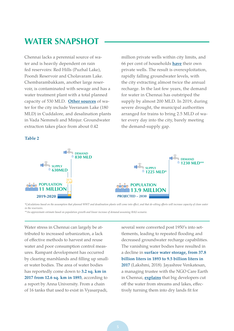Chennai lacks a perennial source of water and is heavily dependent on rain fed reservoirs: Red Hills (Puzhal Lake), Poondi Reservoir and Cholavaram Lake. Chembarambakkam, another large reservoir, is contaminated with sewage and has a water treatment plant with a total planned capacity of 530 MLD. **[Other sources](https://timesofindia.indiatimes.com/city/chennai/rain-in-catchment-areas-ups-reservoir-levels/articleshow/72322992.cms)** of water for the city include Veeranam Lake (180 MLD) in Cuddalore, and desalination plants in Vada Nemmeli and Minjur. Groundwater extraction takes place from about 0.42

#### **Table 2**

million private wells within city limits, and 66 per cent of households **[have](https://www.downtoearth.org.in/news/water/chennai-s-water-wars-65131)** their own private wells. The result is overexploitation, rapidly falling groundwater levels, with the city extracting almost twice the annual recharge. In the last few years, the demand for water in Chennai has outstriped the supply by almost 200 MLD. In 2019, during severe drought, the municipal authorities arranged for trains to bring 2.5 MLD of water every day into the city, barely meeting the demand-supply gap.



*\*Calculations based on the assumption that planned WWT and desalination plants will come into effect, and that de-silting efforts will increase capacity of clean water in the reservoirs.* 

*\*\*An approximate estimate based on population growth and linear increase of demand assuming BAU scenario.*

Water stress in Chennai can largely be attributed to increased urbanization, a lack of effective methods to harvest and reuse water and poor consumption control measures. Rampant development has occurred by clearing marshlands and filling up smaller water bodies. The area of water bodies has reportedly come down to **3.2 sq. km in 2017 from 12.6 sq. km in 1893**, according to a report by Anna University. From a chain of 16 tanks that used to exist in Vyasarpadi,

several were converted post 1950's into settlements, leading to repeated flooding and decreased groundwater recharge capabilities. The vanishing water bodies have resulted in a decline in **surface water storage, from 37.8 billion liters in 1893 to 9.5 billion liters in 2017** (Lakshmi, 2018). Jayashree Venkatesan, a managing trustee with the NGO Care Earth in Chennai, **[explains](https://undark.org/2020/07/29/chennai-river-restoration-impacts-poor/)** that big developers cut off the water from streams and lakes, effectively turning them into dry lands fit for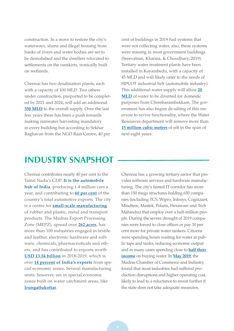construction. In a move to restore the city's waterways, slums and illegal housing from banks of rivers and water bodies are set to be demolished and the dwellers relocated to settlements on the outskirts, ironically built on wetlands.

Chennai has two desalination plants, each with a capacity of 100 MLD. Two others under construction, purported to be completed by 2021 and 2024, will add an additional **[550 MLD](https://www.ndtv.com/chennai-news/amid-chennai-water-crisis-work-begins-on-desalination-plant-6-years-late-2060853)** to the overall supply. Over the last few years there has been a push towards making rainwater harvesting mandatory in every building but according to Sekhar Raghavan from the NGO Rain Centre, 40 per

cent of buildings in 2019 had systems that were not collecting water, also, these systems were missing in most government buildings (Sreevatsan, Khanna, & Choudhary, 2019). Tertiary water treatment plants have been installed in Koyambedu, with a capacity of 45 MLD and will likely cater to the needs of SIPCOT industrial belt (automobile industry). This additional water supply will allow **[20](https://www.thehindu.com/news/cities/chennai/city-gets-its-second-tertiary-treatment-plant-at-koyambedu/article30119590.ece)  [MLD](https://www.thehindu.com/news/cities/chennai/city-gets-its-second-tertiary-treatment-plant-at-koyambedu/article30119590.ece)** of water to be diverted for domestic purposes from Chembarambakkam. The government has also begun de-silting of this reservoir to revive functionality, where the Water Resources department will remove more than **[15 million cubic meters](https://www.thehindu.com/news/cities/chennai/city-gets-its-second-tertiary-treatment-plant-at-koyambedu/article30119590.ece)** of silt in the span of next eight years.

#### **INDUSTRY SNAPSHOT**

Chennai contributes nearly 40 per cent to the Tamil Nadu's GDP. **It is the automobile hub of India**, producing 1.4 million cars a year, and contributing to **[60 per cent](https://www.thehindu.com/news/cities/chennai/city-gets-its-second-tertiary-treatment-plant-at-koyambedu/article30119590.ece)** of the country's total automotive exports. The city is a centre for **[small-scale manufacturing](http://www.cmdachennai.gov.in/Volume3_English_PDF/Vol3_Chapter04_Economy.pdf)** of rubber and plastic, metal and transport products. The Madras Export Processing Zone (MEPZ), spread over **[262 acres](http://www.mepz.gov.in/infrastructure.html)**, has more than 100 industries engaged in textile and leather, electronic hardware and software, chemicals, pharmaceuticals and others, and has contributed to exports worth **[USD 13.54 billion](http://www.mepz.gov.in/exportPercSez.html)** in 2018-2019, which is over **[14 percent](https://www.bloombergquint.com/economy-finance/india-sez-policy-infrastructure-realty-trusts-can-now-set-up-business-in-sezs-but-will-this-increase-exports#:~:text=In%20absolute%20numbers%2C%20SEZs) of India's exports** from special economic zones. Several manufacturing units, however, are in special economic zones built on water catchment areas, like **[Irungattukottai](https://www.wbur.org/npr/742688141/the-water-crisis-in-chennai-whos-to-blame-how-do-you-fix-it)**.

Chennai has a growing tertiary sector that provides software services and hardware manufacturing. The city's famed IT corridor has more than 150 mega structures holding 650 companies (including TCS, Wipro, Infosys, Cognizant, Mindtree, Mastek, Polaris, Hexaware and Tech Mahindra) that employ over a half-million people. During the severe drought of 2019 companies were forced to close offices or pay 30 per cent more for private water tankers. Citizens were spending hours waiting for water at public taps and tanks, reducing economic output and in many cases spending close to **[half their](https://www.thehindubusinessline.com/specials/india-file/living-without-water-in-chennai/article28065458.ece)  [income](https://www.thehindubusinessline.com/specials/india-file/living-without-water-in-chennai/article28065458.ece)** on buying water. In **[May 2019](https://worldview.stratfor.com/article/india-water-stressed-future-now-drought-monsoon-chennai)**, the Madras Chamber of Commerce and Industry found that most industries had suffered production disruptions and higher operating cost, likely to lead to a reluctance to invest further if the state does not take adequate measures.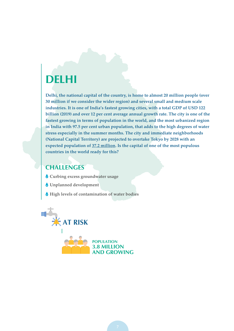# **DELHI**

**Delhi, the national capital of the country, is home to almost 20 million people (over 30 million if we consider the wider region) and several small and medium scale industries. It is one of India's fastest growing cities, with a total GDP of USD 122 billion (2019) and over 12 per cent average annual growth rate. The city is one of the fastest growing in terms of population in the world, and the most urbanized region in India with 97.5 per cent urban population, that adds to the high degrees of water stress especially in the summer months. The city and immediate neighborhoods (National Capital Territory) are projected to overtake Tokyo by 2028 with an expected population of [37.2 million.](https://economictimes.indiatimes.com/news/politics-and-nation/delhi-could-be-the-worlds-most-populous-city-by-2028-but-is-it-really-prepared/articleshow/68027790.cms?from=mdr) Is the capital of one of the most populous countries in the world ready for this?**

#### **CHALLENGES**

- **Curbing excess groundwater usage**
- **Unplanned development**
- **High levels of contamination of water bodies**



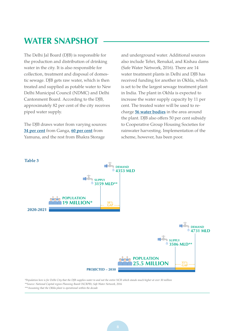The Delhi Jal Board (DJB) is responsible for the production and distribution of drinking water in the city. It is also responsible for collection, treatment and disposal of domestic sewage. DJB gets raw water, which is then treated and supplied as potable water to New Delhi Municipal Council (NDMC) and Delhi Cantonment Board. According to the DJB, approximately 82 per cent of the city receives piped water supply.

The DJB draws water from varying sources: **[34 per cent](https://thewire.in/urban/delhi-water-crisis-problem)** from Ganga, **[60 per cent](https://thewire.in/urban/delhi-water-crisis-problem)** from Yamuna, and the rest from Bhakra Storage

and underground water. Additional sources also include Tehri, Renukal, and Kishau dams (Safe Water Network, 2016). There are 14 water treatment plants in Delhi and DJB has received funding for another in Okhla, which is set to be the largest sewage treatment plant in India. The plant in Okhla is expected to increase the water supply capacity by 11 per cent. The treated water will be used to recharge **[56 water bodies](https://economictimes.indiatimes.com/news/politics-and-nation/indias-largest-sewage-treatment-plant-to-come-up-at-okhla-djb/articleshow/69565260.cms?from=mdr)** in the area around the plant. DJB also offers 50 per cent subsidy to Cooperative Group Housing Societies for rainwater harvesting. Implementation of the scheme, however, has been poor.



*\*Population here is for Delhi City that the DJB supplies water to and not the entire NCR which stands much higher at over 30 million \*\*Source: National Capital region Planning Board (NCRPB); Safe Water Network, 2016*

*\*\*\*Assuming that the Okhla plant is operational within the decade*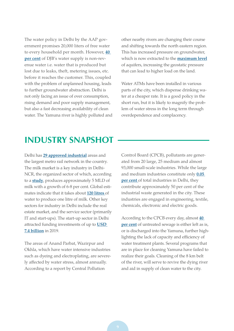The water policy in Delhi by the AAP government promises 20,000 liters of free water to every household per month. However, **[40](https://thewire.in/urban/delhi-water-crisis-problem)  [per cent](https://thewire.in/urban/delhi-water-crisis-problem)** of DJB's water supply is non-revenue water i.e. water that is produced but lost due to leaks, theft, metering issues, etc. before it reaches the customer. This, coupled with the problem of unplanned housing, leads to further groundwater abstraction. Delhi is not only facing an issue of over consumption, rising demand and poor supply management, but also a fast decreasing availability of clean water. The Yamuna river is highly polluted and

other nearby rivers are changing their course and shifting towards the north eastern region. This has increased pressure on groundwater, which is now extracted to the **[maximum level](https://www.news18.com/news/india/alarming-case-of-delhis-disappearing-groundwater-after-chennai-water-crisis-stares-capital-in-face-2194891.html)** of aquifers, increasing the geostatic pressure that can lead to higher load on the land.

Water ATMs have been installed in various parts of the city, which dispense drinking water at a cheaper rate. It is a good policy in the short run, but it is likely to magnify the problem of water stress in the long term through overdependence and complacency.

#### **INDUSTRY SNAPSHOT**

Delhi has **[29 approved industrial](https://www.investindia.gov.in/state/delhi)** areas and the largest metro rail network in the country. The milk market is a key industry in Delhi-NCR, the organized sector of which, according to a **[study](https://www.ibef.org/states/delhi.aspx)**, produces approximately 5 MLD of milk with a growth of 6-8 per cent. Global estimates indicate that it takes about **[120 litres](https://www.theguardian.com/news/datablog/2013/jan/10/how-much-water-food-production-waste)** of water to produce one litre of milk. Other key sectors for industry in Delhi include the real estate market, and the service sector (primarily IT and start-ups). The start-up sector in Delhi attracted funding investments of up to **[USD](https://economictimes.indiatimes.com/news/politics-and-nation/indias-largest-sewage-treatment-plant-to-come-up-at-okhla-djb/articleshow/69565260.cms?from=mdr)  [7.4 billion](https://economictimes.indiatimes.com/news/politics-and-nation/indias-largest-sewage-treatment-plant-to-come-up-at-okhla-djb/articleshow/69565260.cms?from=mdr)** in 2019.

The areas of Anand Parbat, Wazirpur and Okhla, which have water intensive industries such as dyeing and electroplating, are severely affected by water stress, almost annually. According to a report by Central Pollution

Control Board (CPCB), pollutants are generated from 20 large, 25 medium and almost 93,000 small-scale industries. While the large and medium industries constitute only **[0.05](https://www.downtoearth.org.in/news/shut-down-17560)  per cent** of total industries in Delhi, they contribute approximately 50 per cent of the industrial waste generated in the city. These industries are engaged in engineering, textile, chemicals, electronic and electric goods.

According to the CPCB every day, almost **[40](https://theconversation.com/new-delhi-is-running-out-of-water-80402)  [per cent](https://theconversation.com/new-delhi-is-running-out-of-water-80402)** of untreated sewage is either left as is, or is discharged into the Yamuna, further highlighting the lack of capacity and efficiency of water treatment plants. Several programs that are in place for cleaning Yamuna have failed to realize their goals. Cleaning of the 8 km belt of the river, will serve to revive the dying river and aid in supply of clean water to the city.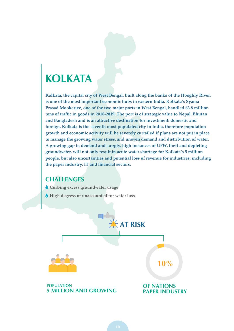# **KOLKATA**

**Kolkata, the capital city of West Bengal, built along the banks of the Hooghly River, is one of the most important economic hubs in eastern India. Kolkata's Syama Prasad Mookerjee, one of the two major ports in West Bengal, handled 63.8 million tons of traffic in goods in 2018-2019. The port is of strategic value to Nepal, Bhutan and Bangladesh and is an attractive destination for investment: domestic and foreign. Kolkata is the seventh most populated city in India, therefore population growth and economic activity will be severely curtailed if plans are not put in place to manage the growing water stress, and uneven demand and distribution of water. A growing gap in demand and supply, high instances of UFW, theft and depleting groundwater, will not only result in acute water shortage for Kolkata's 5 million people, but also uncertainties and potential loss of revenue for industries, including the paper industry, IT and financial sectors.**

#### **CHALLENGES**

- **Curbing excess groundwater usage**
- **High degress of unaccounted for water loss**

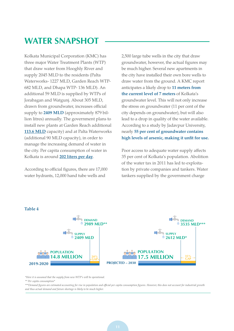Kolkata Municipal Corporation (KMC) has three major Water Treatment Plants (WTP) that draw water from Hooghly River and supply 2045 MLD to the residents (Palta Waterworks- 1227 MLD, Garden Reach WTP-682 MLD, and Dhapa WTP- 136 MLD). An additional 59 MLD is supplied by WTPs of Jorabagan and Watgunj. About 305 MLD, drawn from groundwater, increases official supply to **2409 MLD** (approximately 879 billion litres) annually. The government plans to install new plants at Garden Reach additional **[113.6 MLD](https://www.kmcgov.in/KMCPortal/jsp/WaterSupply.jsp)** capacity) and at Palta Waterworks (additional 90 MLD capacity), in order to manage the increasing demand of water in the city. Per capita consumption of water in Kolkata is around **[202 liters per day](https://medium.com/@anjan.chatterjee/water-supply-system-in-kolkata-city-and-adjoining-areas-b199099a4517)**.

According to official figures, there are 17,000 water hydrants, 12,000 hand tube wells and

2,500 large tube wells in the city that draw groundwater, however, the actual figures may be much higher. Several new apartments in the city have installed their own bore wells to draw water from the ground. A KMC report anticipates a likely drop to **11 meters from the current level of 7 meters** of Kolkata's groundwater level. This will not only increase the stress on groundwater (11 per cent of the city depends on groundwater), but will also lead to a drop in quality of the water available. According to a study by Jadavpur University, nearly **55 per cent of groundwater contains high levels of arsenic, making it unfit for use.**

Poor access to adequate water supply affects 35 per cent of Kolkata's population. Abolition of the water tax in 2011 has led to exploitation by private companies and tankers. Water tankers supplied by the government charge



*\*Here it is assumed that the supply from new WTP's will be operational.*

*\*\* Per capita consumption\** 

*\*\*\*Demand figures are estimated accounting for rise in population and official per capita consumption figures. However, this does not account for industrial growth and thus actual demand and future shortage is likely to be much higher.*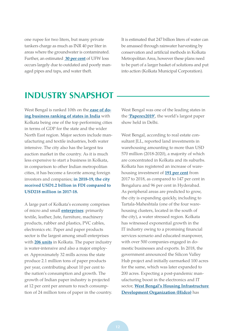one rupee for two liters, but many private tankers charge as much as INR 40 per liter in areas where the groundwater is contaminated. Further, an estimated **[30 per cent](https://timesofindia.indiatimes.com/city/kolkata/kmc-water-loss-30-of-daily-production/articleshow/70119823.cms)** of UFW loss occurs largely due to outdated and poorly managed pipes and taps, and water theft.

It is estimated that 247 billion liters of water can be amassed through rainwater harvesting by conservation and artificial methods in Kolkata Metropolitan Area, however these plans need to be part of a larger basket of solutions and put into action (Kolkata Municipal Corporation).

### **INDUSTRY SNAPSHOT**

West Bengal is ranked 10th on the **[ease of do](https://www.india-briefing.com/news/ease-business-statebystate-analysis-11572.html/)[ing business ranking of states in India](https://www.india-briefing.com/news/ease-business-statebystate-analysis-11572.html/)** with Kolkata being one of the top performing cities in terms of GDP for the state and the wider North East region. Major sectors include manufacturing and textile industries, both water intensive. The city also has the largest tea auction market in the country. As it is much less expensive to start a business in Kolkata, in comparison to other Indian metropolitan cities, it has become a favorite among foreign investors and companies; **in 2018-19, the city received USD1.2 billion in FDI compared to USD218 million in 2017-18.**

A large part of Kolkata's economy comprises of micro and small **[enterprises](https://www.india-briefing.com/news/investor-guide-kolkata-7089.html/)**: primarily textile, leather, Jute, furniture, machinery products, rubber and plastics, PVC cables, electronics etc. Paper and paper products sector is the largest among small enterprises with **[206 units](http://dcmsme.gov.in/dips/KOLKATA.pdf)** in Kolkata. The paper industry is water-intensive and also a major employer. Approximately 32 mills across the state produce 2.1 million tons of paper products per year, contributing about 10 per cent to the nation's consumption and growth. The growth of Indian paper industry is projected at 12 per cent per annum to reach consumption of 24 million tons of paper in the country. West Bengal was one of the leading states in the **['Paperex2019'](https://economictimes.indiatimes.com/industry/indl-goods/svs/paper-/-wood-/-glass/-plastic/-marbles/bengal-to-have-a-large-presence-in-paperex2019/articleshow/72329347.cms?from=mdr)**, the world's largest paper show held in Delhi.

West Bengal, according to real estate consultant JLL, reported land investments in warehousing amounting to more than USD 570 million (2018-2020), a majority of which are concentrated in Kolkata and its suburbs. Kolkata has registered an increase of warehousing investment of **[191 per cent](https://www.thehindubusinessline.com/economy/logistics/kolkata-is-a-top-warhousing-hub-now/article28762394.ece)** from 2017 to 2018, as compared to 147 per cent in Bengaluru and 96 per cent in Hyderabad. As peripheral areas are predicted to grow, the city is expanding quickly, including to Tartala-Maheshtala (one of the four warehousing clusters, located in the south of the city), a water stressed region. Kolkata has witnessed exponential growth in the IT industry owing to a promising financial services scenario and educated manpower, with over 500 companies engaged in domestic businesses and exports. In 2018, the government announced the Silicon Valley Hub project and initially earmarked 100 acres for the same, which was later expanded to 200 acres. Expecting a post-pandemic manufacturing boost in the electronics and IT sector, **[West Bengal's Housing Infrastructure](https://timesofindia.indiatimes.com/city/kolkata/silicon-valley-plots-for-post-covid-boom/articleshow/75684907.cms)  [Development Organization \(Hidco\)](https://timesofindia.indiatimes.com/city/kolkata/silicon-valley-plots-for-post-covid-boom/articleshow/75684907.cms)** has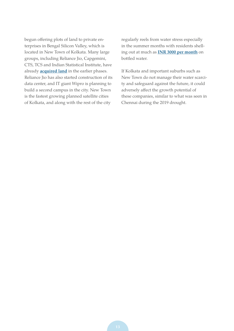begun offering plots of land to private enterprises in Bengal Silicon Valley, which is located in New Town of Kolkata. Many large groups, including Reliance Jio, Capgemini, CTS, TCS and Indian Statistical Institute, have already **[acquired land](http://www.millenniumpost.in/kolkata/reliance-begins-construction-of-data-centre-at-silicon-valley-396419?infinitescroll=1)** in the earlier phases. Reliance Jio has also started construction of its data center, and IT giant Wipro is planning to build a second campus in the city. New Town is the fastest growing planned satellite cities of Kolkata, and along with the rest of the city

regularly reels from water stress especially in the summer months with residents shelling out at much as **[INR 3000 per month](https://india.mongabay.com/2019/06/as-kolkatas-groundwater-level-depletes-consequences-go-beyond-water-shortage/)** on bottled water.

If Kolkata and important suburbs such as New Town do not manage their water scarcity and safeguard against the future, it could adversely affect the growth potential of these companies, similar to what was seen in Chennai during the 2019 drought.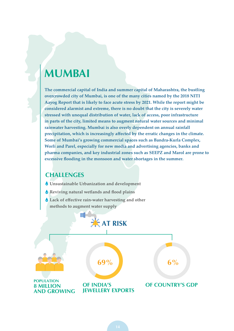# **MUMBAI**

**The commercial capital of India and summer capital of Maharashtra, the bustling overcrowded city of Mumbai, is one of the many cities named by the 2018 NITI Aayog Report that is likely to face acute stress by 2021. While the report might be considered alarmist and extreme, there is no doubt that the city is severely water stressed with unequal distribution of water, lack of access, poor infrastructure in parts of the city, limited means to augment natural water sources and minimal rainwater harvesting. Mumbai is also overly dependent on annual rainfall precipitation, which is increasingly affected by the erratic changes in the climate. Some of Mumbai's growing commercial spaces such as Bandra-Kurla Complex, Worli and Parel, especially for new media and advertising agencies, banks and pharma companies, and key industrial zones such as SEEPZ and Marol are prone to excessive flooding in the monsoon and water shortages in the summer.** 

#### **CHALLENGES**

- **Unsustainable Urbanization and development**
- **Reviving natural wetlands and flood plains**
- **Lack of effective rain-water harvesting and other methods to augment water supply**

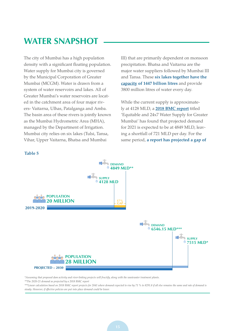The city of Mumbai has a high population density with a significant floating population. Water supply for Mumbai city is governed by the Municipal Corporation of Greater Mumbai (MCGM). Water is drawn from a system of water reservoirs and lakes. All of Greater Mumbai's water reservoirs are located in the catchment area of four major rivers- Vaitarna, Ulhas, Patalganga and Amba. The basin area of these rivers is jointly known as the Mumbai Hydrometric Area (MHA), managed by the Department of Irrigation. Mumbai city relies on six lakes (Tulsi, Tansa, Vihar, Upper Vaitarna, Bhatsa and Mumbai

III) that are primarily dependent on monsoon precipitation. Bhatsa and Vaitarna are the major water suppliers followed by Mumbai III and Tansa. These **six lakes together have the [capacity](https://www.dnaindia.com/mumbai/report-mumbai-tanks-up-25-water-in-10-days-2769912) of 1447 billion litres** and provide 3800 million litres of water every day.

While the current supply is approximately at 4128 MLD, a **[2018 BMC report](https://www.hindustantimes.com/mumbai-news/mumbai-to-need-71-more-water-by-2041-bmc-study/story-NS3k4KIB5CTZX3CwPUWDYL.html)** titled 'Equitable and 24x7 Water Supply for Greater Mumbai' has found that projected demand for 2021 is expected to be at 4849 MLD, leaving a shortfall of 721 MLD per day. For the same period, **a report has projected a gap of** 



#### **Table 5**

*\*Assuming that proposed dam activity and river-linking projects will fructify, along with the wastewater treatment plants.*

*\*\*The 2020-21 demand as projected by a 2018 BMC report*

*\*\*\*Linear calculation based on 2018 BMC report projects for 2041 where demand expected to rise by 71 % to 8291.8 if all else remains the same and rate of demand is steady. However, if effective policies are put into place demand could be lower.*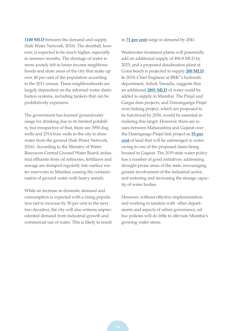**1100 MLD** between the demand and supply (Safe Water Network, 2016). The shortfall, however, is expected to be much higher, especially in summer months. The shortage of water is more acutely felt in lower income neighbourhoods and slum areas of the city that make up over 40 per cent of the population according to the 2011 census. These neighbourhoods are largely dependent on the informal water distribution systems, including tankers that can be prohibitively expensive.

The government has banned groundwater usage for drinking due to its limited potability, but irrespective of that, there are 3950 dug wells and 2514 bore wells in the city to draw water from the ground (Safe Water Network, 2016). According to the Ministry of Water Resources Central Ground Water Board, industrial effluents from oil refineries, fertilizers and sewage are dumped regularly into surface water reservoirs in Mumbai causing the contamination of ground water with heavy metals.

While an increase in domestic demand and consumption is expected with a rising population (set to increase by 50 per cent in the next two decades), the city will also witness unprecedented demand from industrial growth and commercial use of water. This is likely to result

in **[71 per cent](https://www.hindustantimes.com/mumbai-news/mumbai-to-need-71-more-water-by-2041-bmc-study/story-NS3k4KIB5CTZX3CwPUWDYL.html#:~:text=By%202041%2C%20Mumbai)** surge in demand by 2041.

Wastewater treatment plants will potentially add an additional supply of 496.8 MLD by 2025, and a proposed desalination plant at Gorai beach is projected to supply **[200 MLD](https://www.hindustantimes.com/mumbai-news/mumbai-civic-body-revives-plan-to-set-up-desalination-plant-for-potable-water/story-OicYLsDVvAOedaySUvhlgK.html)**. In 2019, Chief Engineer at BMC's hydraulic department, Ashok Tawadia, suggests that an additional **[2891 MLD](https://www.hindustantimes.com/mumbai-news/mumbai-to-need-71-more-water-by-2041-bmc-study/story-NS3k4KIB5CTZX3CwPUWDYL.html#:~:text=By%202041%2C%20Mumbai)** of water could be added to supply in Mumbai. The Pinjal and Gargai dam projects, and Damanganga-Pinjal river linking project, which are proposed to be functional by 2030, would be essential in realizing this target. However, there are issues between Maharashtra and Gujarat over the Damnganga-Pinjal link project as **[55 per](https://indianexpress.com/article/cities/mumbai/maharashtra-damanganga-pinjal-river-link-will-still-have-a-gujarat-component-5890419/#:~:text=A%20deadlock%20between%20the%20two,states%2C%20which%20ultimately%20led%20to)  [cent](https://indianexpress.com/article/cities/mumbai/maharashtra-damanganga-pinjal-river-link-will-still-have-a-gujarat-component-5890419/#:~:text=A%20deadlock%20between%20the%20two,states%2C%20which%20ultimately%20led%20to)** of land that will be submerged in water owing to one of the proposed dams being housed in Gujarat. The 2019 state water policy has a number of good initiatives: addressing drought prone areas of the state, encouraging greater involvement of the industrial sector, and restoring and increasing the storage capacity of water bodies.

However, without effective implementation and working in tandem with other departments and aspects of urban governance, ad hoc policies will do little to alleviate Mumbai's growing water stress.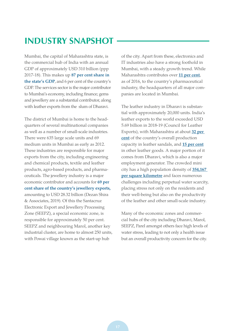## **INDUSTRY SNAPSHOT**

Mumbai, the capital of Maharashtra state, is the commercial hub of India with an annual GDP of approximately USD 310 billion (ppp 2017-18). This makes up **87 per cent share in the state's GDP**, and 6 per cent of the country's GDP. The services sector is the major contributor to Mumbai's economy, including finance; gems and jewellery are a substantial contributor, along with leather exports from the slum of Dharavi.

The district of Mumbai is home to the headquarters of several multinational companies as well as a number of small-scale industries. There were 635 large scale units and 69 medium units in Mumbai as early as 2012. These industries are responsible for major exports from the city, including engineering and chemical products, textile and leather products, agro-based products, and pharmaceuticals. The jewellery industry is a major economic contributor and accounts for **69 per cent share of the country's jewellery exports,** amounting to USD 28.32 billion (Dezan Shira & Associates, 2019). Of this the Santacruz Electronic Export and Jewellery Processing Zone (SEEPZ), a special economic zone, is responsible for approximately 50 per cent. SEEPZ and neighbouring Marol, another key industrial cluster, are home to almost 250 units, with Powai village known as the start-up hub

of the city. Apart from these, electronics and IT industries also have a strong foothold in Mumbai, with a steady growth trend. While Maharashtra contributes over **[11 per cent](https://www.expresspharma.in/cover-story/maharashtra-the-pharma-capital/)**, as of 2016, to the country's pharmaceutical industry, the headquarters of all major companies are located in Mumbai.

The leather industry in Dharavi is substantial with approximately 20,000 units. India's leather exports to the world exceeded USD 5.69 billion in 2018-19 (Council for Leather Exports), with Maharashtra at about **[32 per](https://theprint.in/economy/dharavis-leather-industry-troubles/12316/)  [cent](https://theprint.in/economy/dharavis-leather-industry-troubles/12316/)** of the country's overall production capacity in leather sandals, and **[15 per cent](https://theprint.in/economy/dharavis-leather-industry-troubles/12316/)** in other leather goods. A major portion of it comes from Dharavi, which is also a major employment generator. The crowded mini city has a high population density of **[354,167](https://www.hindustantimes.com/india-news/inside-dharavi-india-s-largest-slum-and-a-major-covid-hotspot/story-ZbX5VOngcJImsK9F4ohBvM.html)  [per square kilometre](https://www.hindustantimes.com/india-news/inside-dharavi-india-s-largest-slum-and-a-major-covid-hotspot/story-ZbX5VOngcJImsK9F4ohBvM.html)** and faces numerous challenges including perpetual water scarcity, placing stress not only on the residents and their well-being but also on the productivity of the leather and other small-scale industry.

Many of the economic zones and commercial hubs of the city including Dharavi, Marol, SEEPZ, Parel amongst others face high levels of water stress, leading to not only a health issue but an overall productivity concern for the city.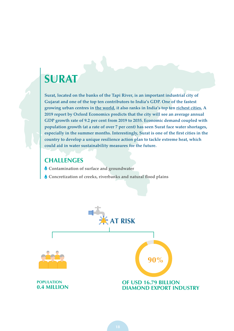# **SURAT**

**Surat, located on the banks of the Tapi River, is an important industrial city of Gujarat and one of the top ten contributors to India's GDP. One of the fastest growing urban centres in [the world,](https://www.businessinsider.com/all-of-the-10-fastest-growing-cities-in-the-world-are-in-india-2019-1?IR=T) it also ranks in India's top ten [richest cities.](https://www.indiatoday.in/information/story/top-10-richest-cities-in-india-in-2020-1726702-2020-09-29) A 2019 report by Oxford Economics predicts that the city will see an average annual GDP growth rate of 9.2 per cent from 2019 to 2035. Economic demand coupled with population growth (at a rate of over 7 per cent) has seen Surat face water shortages, especially in the summer months. Interestingly, Surat is one of the first cities in the country to develop a unique resilience action plan to tackle extreme heat, which could aid in water sustainability measures for the future.** 

#### **CHALLENGES**

- **Contamination of surface and groundwater**
- **Concretization of creeks, riverbanks and natural flood plains**

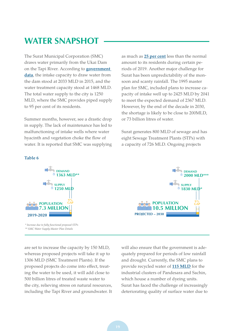The Surat Municipal Corporation (SMC) draws water primarily from the Ukai Dam on the Tapi River. According to **[government](https://www.suratmunicipal.gov.in/Departments/HydraulicHome)  [data](https://www.suratmunicipal.gov.in/Departments/HydraulicHome)**, the intake capacity to draw water from the dam stood at 2033 MLD in 2015, and the water treatment capacity stood at 1468 MLD. The total water supply to the city is 1250 MLD, where the SMC provides piped supply to 95 per cent of its residents.

Summer months, however, see a drastic drop in supply. The lack of maintenance has led to malfunctioning of intake wells where water hyacinth and vegetation choke the flow of water. It is reported that SMC was supplying as much as **[25 per cent](https://timesofindia.indiatimes.com/city/surat/normal-water-supply-in-city-to-be-restored-today/articleshow/70578622.cms)** less than the normal amount to its residents during certain periods of 2019. Another major challenge for Surat has been unpredictability of the monsoon and scanty rainfall. The 1995 master plan for SMC, included plans to increase capacity of intake well up to 2425 MLD by 2041 to meet the expected demand of 2367 MLD. However, by the end of the decade in 2030, the shortage is likely to be close to 200MLD, or 73 billion litres of water.

Surat generates 800 MLD of sewage and has eight Sewage Treatment Plants (STPs) with a capacity of 726 MLD. Ongoing projects



*\* Increase due to fully functional proposed STPs \*\* SMC Water Supply Master Plan Details*

are set to increase the capacity by 150 MLD, whereas proposed projects will take it up to 1306 MLD (SMC Treatment Plants). If the proposed projects do come into effect, treating the water to be used, it will add close to 500 billion litres of treated waste water to the city, relieving stress on natural resources, including the Tapi River and groundwater. It



will also ensure that the government is adequately prepared for periods of low rainfall and drought. Currently, the SMC plans to provide recycled water of **[115 MLD](https://www.thehindu.com/news/national/other-states/in-managing-water-surat-takes-lead/article24962211.ece)** for the industrial clusters of Pandesara and Sachin, which house a number of dyeing units. Surat has faced the challenge of increasingly deteriorating quality of surface water due to

#### **Table 6**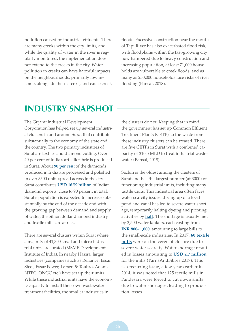pollution caused by industrial effluents. There are many creeks within the city limits, and while the quality of water in the river is regularly monitored, the implementation does not extend to the creeks in the city. Water pollution in creeks can have harmful impacts on the neighbourhoods, primarily low income, alongside these creeks, and cause creek

floods. Excessive construction near the mouth of Tapi River has also exacerbated flood risk, with floodplains within the fast-growing city now hampered due to heavy construction and increasing population; at least 71,000 households are vulnerable to creek floods, and as many as 250,000 households face risks of river flooding (Bansal, 2018).

#### **INDUSTRY SNAPSHOT**

The Gujarat Industrial Development Corporation has helped set up several industrial clusters in and around Surat that contribute substantially to the economy of the state and the country. The two primary industries of Surat are textiles and diamond cutting. Over 40 per cent of India's art-silk fabric is produced in Surat. About **[90 per cent](https://www.ibef.org/download/Gujarat_22april_08.pdf)** of the diamonds produced in India are processed and polished in over 3500 units spread across in the city. Surat contributes **[USD 16.79 billion](https://www.ibef.org/industry/gems-jewellery-india.aspx#:~:text=India%20is%20the%20world)** of Indian diamond exports, close to 90 percent in total. Surat's population is expected to increase substantially by the end of the decade and with the growing gap between demand and supply of water, the billion dollar diamond industry and textile mills are at risk.

There are several clusters within Surat where a majority of 41,300 small and micro industrial units are located (MSME Development Institute of India). In nearby Hazira, larger industries (companies such as Reliance, Essar Steel, Essar Power, Larsen & Toubro, Adani, NTPC, ONGC etc.) have set up their units. While these industrial units have the economic capacity to install their own wastewater treatment facilities, the smaller industries in

the clusters do not. Keeping that in mind, the government has set up Common Effluent Treatment Plants (CETP) so the waste from these industry clusters can be treated. There are five CETPs in Surat with a combined capacity of 310.5 MLD to treat industrial wastewater (Bansal, 2018).

Sachin is the oldest among the clusters of Surat and has the largest number (at 3000) of functioning industrial units, including many textile units. This industrial area often faces water scarcity issues: drying up of a local pond and canal has led to severe water shortage, temporarily halting dyeing and printing activities by **[half](https://www.deshgujarat.com/2018/02/09/sachin-gidc-facing-water-supply-problem-laborers-asked-to-bring-own-drinking-water/#:~:text=Surat%3A%20As%20local%20pond%20has,are%20now%20dependent%20on%20tankers.&text=Weavers%20have%20asked%20labourers%20to%20bring)**. The shortage is usually met by 3,500 water tankers, each costing from **[INR 800- 1,000](https://timesofindia.indiatimes.com/city/surat/normal-water-supply-in-city-to-be-restored-today/articleshow/70578622.cms)**, amounting to large bills to the small-scale industries. In 2017, **[60 textile](https://apparelresources.com/business-news/sourcing/textile-mills-in-sachin-gidc-india-facing-water-shortage/)  [mills](https://apparelresources.com/business-news/sourcing/textile-mills-in-sachin-gidc-india-facing-water-shortage/)** were on the verge of closure due to severe water scarcity. Water shortage resulted in losses amounting to **[USD 2.7 million](https://www.yarnsandfibers.com/news/textile-news/textile-units-at-sachin-gidc-facing-acute-water-shortage/)** for the mills (YarnsAndFibres 2017). This is a recurring issue, a few years earlier in 2014, it was noted that 125 textile mills in Pandesara were forced to cut down shifts due to water shortages, leading to production losses.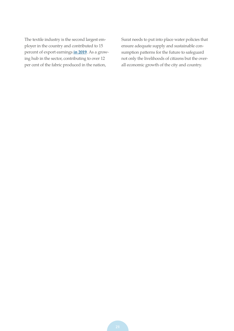The textile industry is the second largest employer in the country and contributed to 15 percent of export earnings **[in 2019](https://www.ibef.org/industry/textiles.aspx)**. As a growing hub in the sector, contributing to over 12 per cent of the fabric produced in the nation,

Surat needs to put into place water policies that ensure adequate supply and sustainable consumption patterns for the future to safeguard not only the livelihoods of citizens but the overall economic growth of the city and country.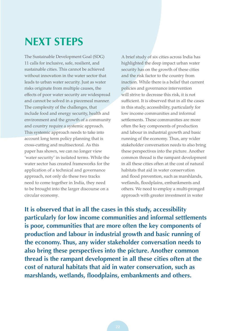# **NEXT STEPS**

The Sustainable Development Goal (SDG) 11 calls for inclusive, safe, resilient, and sustainable cities. This cannot be achieved without innovation in the water sector that leads to urban water security. Just as water risks originate from multiple causes, the effects of poor water security are widespread and cannot be solved in a piecemeal manner. The complexity of the challenges, that include food and energy security, health and environment and the growth of a community and country require a systemic approach. This systemic approach needs to take into account long term policy planning that is cross-cutting and multisectoral. As this paper has shown, we can no longer view 'water security' in isolated terms. While the water sector has created frameworks for the application of a technical and governance approach, not only do these two tracks need to come together in India, they need to be brought into the larger discourse on a circular economy.

A brief study of six cities across India has highlighted the deep impact urban water security has on the growth of these cities and the risk factor to the country from inaction. While there is a belief that current policies and governance intervention will strive to decrease this risk, it is not sufficient. It is observed that in all the cases in this study, accessibility, particularly for low income communities and informal settlements. These communities are more often the key components of production and labour in industrial growth and basic running of the economy. Thus, any wider stakeholder conversation needs to also bring these perspectives into the picture. Another common thread is the rampant development in all these cities often at the cost of natural habitats that aid in water conservation and flood prevention, such as marshlands, wetlands, floodplains, embankments and others. We need to employ a multi-pronged approach with greater investment in water

**It is observed that in all the cases in this study, accessibility particularly for low income communities and informal settlements is poor, communities that are more often the key components of production and labour in industrial growth and basic running of the economy. Thus, any wider stakeholder conversation needs to also bring these perspectives into the picture. Another common thread is the rampant development in all these cities often at the cost of natural habitats that aid in water conservation, such as marshlands, wetlands, floodplains, embankments and others.**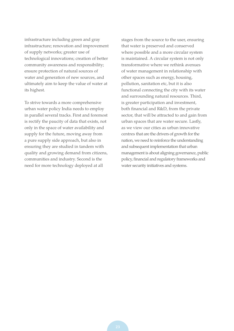infrastructure including green and gray infrastructure; renovation and improvement of supply networks; greater use of technological innovations; creation of better community awareness and responsibility; ensure protection of natural sources of water and generation of new sources, and ultimately aim to keep the value of water at its highest.

To strive towards a more comprehensive urban water policy India needs to employ in parallel several tracks. First and foremost is rectify the paucity of data that exists, not only in the space of water availability and supply for the future, moving away from a pure supply side approach, but also in ensuring they are studied in tandem with quality and growing demand from citizens, communities and industry. Second is the need for more technology deployed at all

stages from the source to the user, ensuring that water is preserved and conserved where possible and a more circular system is maintained. A circular system is not only transformative where we rethink avenues of water management in relationship with other spaces such as energy, housing, pollution, sanitation etc, but it is also functional connecting the city with its water and surrounding natural resources. Third, is greater participation and investment, both financial and R&D, from the private sector, that will be attracted to and gain from urban spaces that are water secure. Lastly, as we view our cities as urban innovative centres that are the drivers of growth for the nation, we need to reinforce the understanding and subsequent implementation that urban management is about aligning governance, public policy, financial and regulatory frameworks and water security initiatives and systems.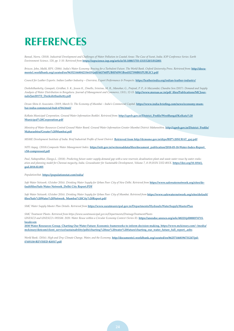# **REFERENCES**

*Bansal, Neeru. (2018). Industrial Development and Challenges of Water Pollution in Coastal Areas: The Case of Surat, India. IOP Conference Series: Earth Environment Science, 120, pp. 1-10. Retrieved from* **[https://iopscience.iop.org/article/10.1088/1755-1315/120/1/012001](https://iopscience.iop.org/article/10.1088/1755-1315/120/1/012001 )**

Briscoe, John, Malik, RPS. (2006). India's Water Economy: Bracing for a Turbulent Future. The World Bank. Oxford University Press. Retrieved from: [http://docu](http://documents1.worldbank.org/curated/en/963521468042336419/pdf/443760PUB0IN0W1Box0327398B01PUBLIC1.pdf)**[ments1.worldbank.org/curated/en/963521468042336419/pdf/443760PUB0IN0W1Box0327398B01PUBLIC1.pdf](http://documents1.worldbank.org/curated/en/963521468042336419/pdf/443760PUB0IN0W1Box0327398B01PUBLIC1.pdf)**

*Council for Leather Exports. Indian Leather Industry – Overview, Export Performance & Prospects.* **<https://leatherindia.org/indian-leather-industry/>**

*Deekshithashetty, Ganapati, Giridhar, S. K., Jesson K., Dmello, Srinivas, M. R., Manohar, G., Prajwal, P. P., & Mazumdar, Chandra Sen.(2017). Demand and Supply*  Analysis of Water Distribution in Bengaluru. Journal of Management and Commerce, 13(1), 12-15. [http://www.msruas.ac.in/pdf\\_files/Publications/MCJour](http://www.msruas.ac.in/pdf_files/Publications/MCJournals/Jan2017/2_Deekshithashetty.pdf)**[nals/Jan2017/2\\_Deekshithashetty.pdf](http://www.msruas.ac.in/pdf_files/Publications/MCJournals/Jan2017/2_Deekshithashetty.pdf)**

Dezan Shira & Associates. (2019, March 5). The Economy of Mumbai - India's Commercial Capital. **[https://www.india-briefing.com/news/economy-mum](https://www.india-briefing.com/news/economy-mumbai-india-commercial-hub-6704.html/ )[bai-india-commercial-hub-6704.html/](https://www.india-briefing.com/news/economy-mumbai-india-commercial-hub-6704.html/ )**

*Kolkata Municipal Corporation. Ground Water Information Booklet. Retrieved from:* **[http://cgwb.gov.in/District\\_Profile/WestBangal/Kolkata%20](http://cgwb.gov.in/District_Profile/WestBangal/Kolkata%20Municipal%20Corporation.pdf
) [Municipal%20Corporation.pdf](http://cgwb.gov.in/District_Profile/WestBangal/Kolkata%20Municipal%20Corporation.pdf
)**

*Ministry of Water Resources Central Ground Water Board. Ground Water Information Greater Mumbai District Maharashtra.* **[http://cgwb.gov.in/District\\_Profile/](http://cgwb.gov.in/District_Profile/Maharashtra/Greater%20Mumbai.pdf ) [Maharashtra/Greater%20Mumbai.pdf](http://cgwb.gov.in/District_Profile/Maharashtra/Greater%20Mumbai.pdf )**

*MSME Development Institute of India. Brief Industrial Profile of Surat District.* **[Retrieved from http://dcmsme.gov.in/dips/BIP%20SURAT\\_guj.pdf](Retrieved from http://dcmsme.gov.in/dips/BIP%20SURAT_guj.pdf)**

*NITI Aayog. (2018).Composite Water Management Index.* **[https://niti.gov.in/writereaddata/files/document\\_publication/2018-05-18-Water-Index-Report\\_](https://niti.gov.in/writereaddata/files/document_publication/2018-05-18-Water-Index-Report_vS8-compr) [vS8-compressed.pdf](https://niti.gov.in/writereaddata/files/document_publication/2018-05-18-Water-Index-Report_vS8-compr)**

Paul, Nabaprabhat, Elango,L. (2018). Predicting future water supply-demand gap with a new reservoir, desalination plant and waste water reuse by water evaluation and planning model for Chennai megacity, India. Groundwater for Sustainable Development, Volume 7, 8-19,ISSN 2352-801X. [https://doi.org/10.1016/j.](https://doi.org/10.1016/j.gsd.2018.02.005
) **[gsd.2018.02.005](https://doi.org/10.1016/j.gsd.2018.02.005
)**

*PopulationStat.* **[https://populationstat.com/india/](https://doi.org/10.1016/j.gsd.2018.02.005
)**

Safe Water Network. (October 2016). Drinking Water Supply for Urban Poor: City of New Delhi. Retrieved from [https://www.safewaternetwork.org/sites/de](https://www.safewaternetwork.org/sites/default/files/Safe Water Network_Delhi City Report.PDF )**[fault/files/Safe Water Network\\_Delhi City Report.PDF](https://www.safewaternetwork.org/sites/default/files/Safe Water Network_Delhi City Report.PDF )**

*Safe Water Network. (October 2016). Drinking Water Supply for Urban Poor: City of Mumbai. Retrieved from* **[https://www.safewaternetwork.org/sites/default/](https://www.safewaternetwork.org/sites/default/files/Safe%20Water%20Network_Mumbai%20City%20Report.p) [files/Safe%20Water%20Network\\_Mumbai%20City%20Report.pdf](https://www.safewaternetwork.org/sites/default/files/Safe%20Water%20Network_Mumbai%20City%20Report.p)**

*SMC Water Supply Master Plan Details. Retrieved from* **[https://www.suratmunicipal.gov.in/Departments/HydraulicWaterSupplyMasterPlan](https://www.suratmunicipal.gov.in/Departments/HydraulicWaterSupplyMasterPlan )**

*SMC Treatment Plants. Retrieved from https://www.suratmunicipal.gov.in/Departments/DrainageTreatmentPlants UNESCO and UNESCO i-WSSM. 2020. Water Reuse within a Circular Economy Context (Series II).* **[https://unesdoc.unesco.org/ark:/48223/pf0000374715.](https://unesdoc.unesco.org/ark:/48223/pf0000374715.locale=en 2030 Water Resources Group. Charting Ou) [locale=en](https://unesdoc.unesco.org/ark:/48223/pf0000374715.locale=en 2030 Water Resources Group. Charting Ou)**

**[2030 Water Resources Group. Charting Our Water Future: Economic frameworks to inform decision-making. https://www.mckinsey.com/~/media/](https://unesdoc.unesco.org/ark:/48223/pf0000374715.locale=en 2030 Water Resources Group. Charting Ou) [mckinsey/dotcom/client\\_service/sustainability/pdfs/charting%20our%20water%20future/charting\\_our\\_water\\_future\\_full\\_report\\_.ashx](https://unesdoc.unesco.org/ark:/48223/pf0000374715.locale=en 2030 Water Resources Group. Charting Ou)**

World Bank. (2016). High and Dry: Climate Change, Water, and the Economy. [http://documents1.worldbank.org/curated/en/862571468196731247/pd](http://documents1.worldbank.org/curated/en/862571468196731247/pdf/105130-REVISED-K8517.pdf)**[f/105130-REVISED-K8517.pdf](http://documents1.worldbank.org/curated/en/862571468196731247/pdf/105130-REVISED-K8517.pdf)**